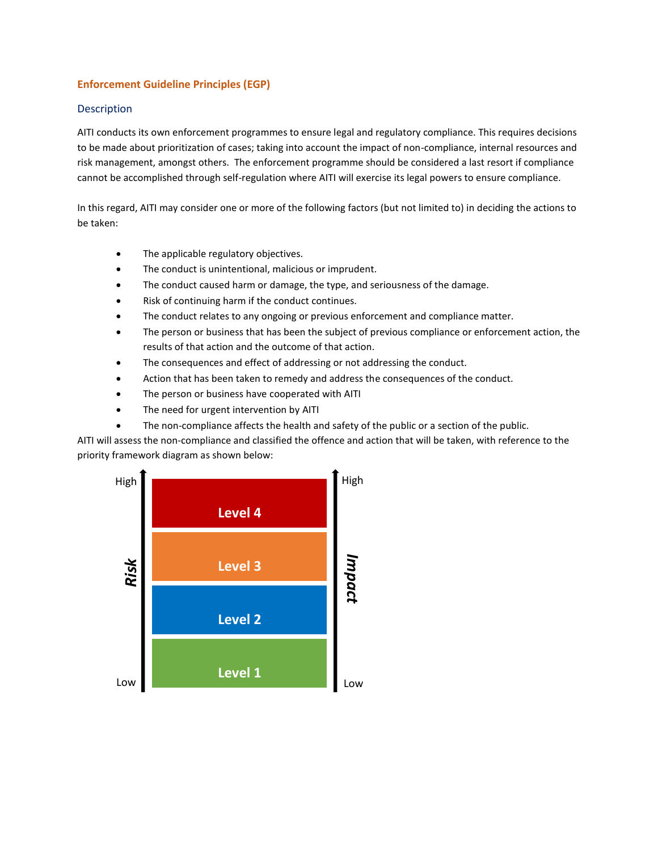#### **Enforcement Guideline Principles (EGP)**

#### Description

AITI conducts its own enforcement programmes to ensure legal and regulatory compliance. This requires decisions to be made about prioritization of cases; taking into account the impact of non-compliance, internal resources and risk management, amongst others. The enforcement programme should be considered a last resort if compliance cannot be accomplished through self-regulation where AITI will exercise its legal powers to ensure compliance.

In this regard, AITI may consider one or more of the following factors (but not limited to) in deciding the actions to be taken:

- The applicable regulatory objectives.
- The conduct is unintentional, malicious or imprudent.
- The conduct caused harm or damage, the type, and seriousness of the damage.
- Risk of continuing harm if the conduct continues.
- The conduct relates to any ongoing or previous enforcement and compliance matter.
- The person or business that has been the subject of previous compliance or enforcement action, the results of that action and the outcome of that action.
- The consequences and effect of addressing or not addressing the conduct.
- Action that has been taken to remedy and address the consequences of the conduct.
- The person or business have cooperated with AITI
- The need for urgent intervention by AITI
- The non-compliance affects the health and safety of the public or a section of the public.

AITI will assess the non-compliance and classified the offence and action that will be taken, with reference to the priority framework diagram as shown below:

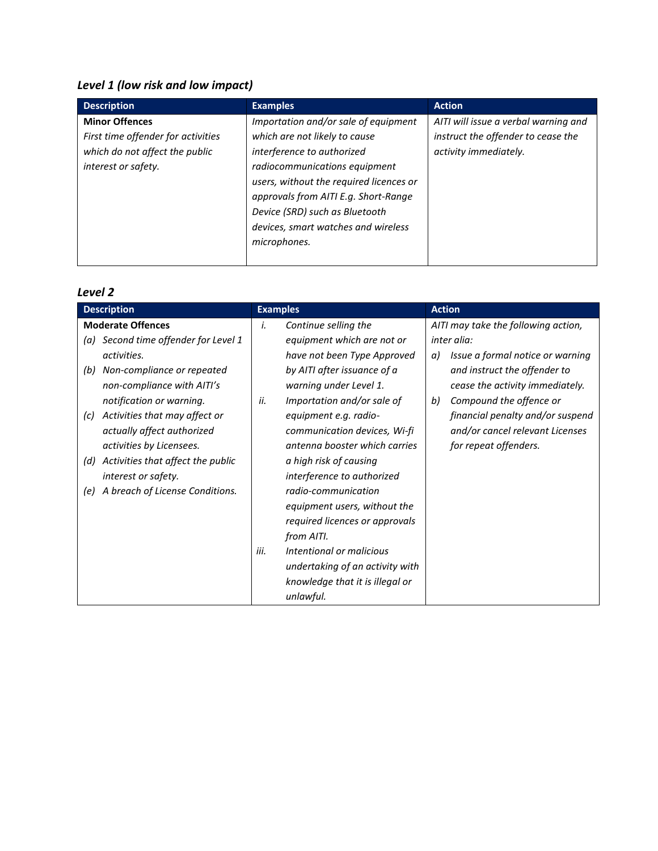# *Level 1 (low risk and low impact)*

| <b>Description</b>                 | <b>Examples</b>                         | <b>Action</b>                        |
|------------------------------------|-----------------------------------------|--------------------------------------|
| <b>Minor Offences</b>              | Importation and/or sale of equipment    | AITI will issue a verbal warning and |
| First time offender for activities | which are not likely to cause           | instruct the offender to cease the   |
| which do not affect the public     | interference to authorized              | activity immediately.                |
| interest or safety.                | radiocommunications equipment           |                                      |
|                                    | users, without the required licences or |                                      |
|                                    | approvals from AITI E.g. Short-Range    |                                      |
|                                    | Device (SRD) such as Bluetooth          |                                      |
|                                    | devices, smart watches and wireless     |                                      |
|                                    | microphones.                            |                                      |
|                                    |                                         |                                      |

## *Level 2*

| <b>Description</b>                       | <b>Examples</b>                   | <b>Action</b>                          |
|------------------------------------------|-----------------------------------|----------------------------------------|
| <b>Moderate Offences</b>                 | Continue selling the<br>i.        | AITI may take the following action,    |
| (a) Second time offender for Level 1     | equipment which are not or        | inter alia:                            |
| activities.                              | have not been Type Approved       | Issue a formal notice or warning<br>a) |
| Non-compliance or repeated<br>(b)        | by AITI after issuance of a       | and instruct the offender to           |
| non-compliance with AITI's               | warning under Level 1.            | cease the activity immediately.        |
| notification or warning.                 | Importation and/or sale of<br>ii. | Compound the offence or<br>b)          |
| Activities that may affect or<br>(c)     | equipment e.g. radio-             | financial penalty and/or suspend       |
| actually affect authorized               | communication devices, Wi-fi      | and/or cancel relevant Licenses        |
| activities by Licensees.                 | antenna booster which carries     | for repeat offenders.                  |
| Activities that affect the public<br>(d) | a high risk of causing            |                                        |
| interest or safety.                      | interference to authorized        |                                        |
| A breach of License Conditions.<br>(e)   | radio-communication               |                                        |
|                                          | equipment users, without the      |                                        |
|                                          | required licences or approvals    |                                        |
|                                          | from AITI.                        |                                        |
|                                          | Intentional or malicious<br>iii.  |                                        |
|                                          | undertaking of an activity with   |                                        |
|                                          | knowledge that it is illegal or   |                                        |
|                                          | unlawful.                         |                                        |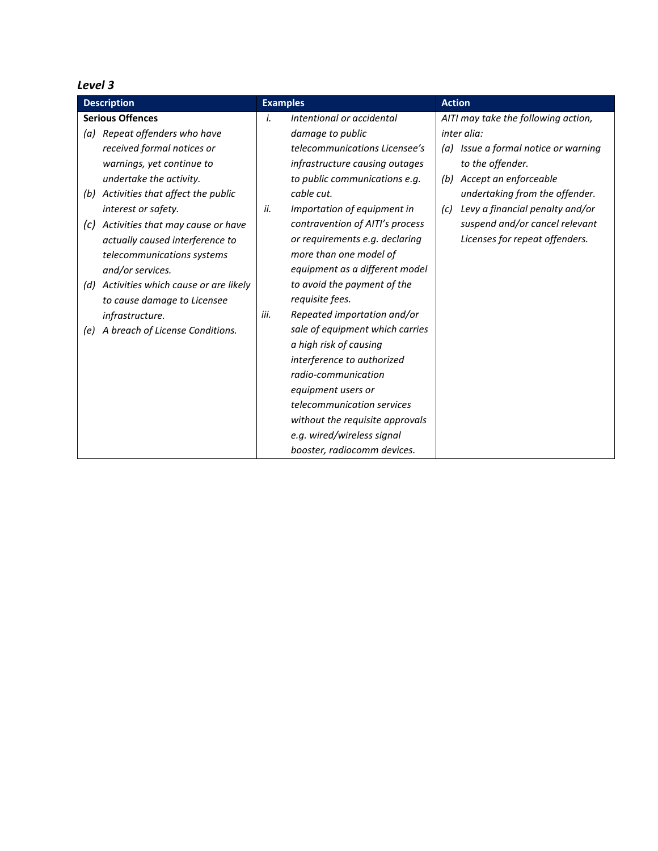## *Level 3*

| <b>Description</b>                                     | <b>Examples</b>                     | <b>Action</b>                          |
|--------------------------------------------------------|-------------------------------------|----------------------------------------|
| <b>Serious Offences</b>                                | i.<br>Intentional or accidental     | AITI may take the following action,    |
| Repeat offenders who have<br>(a)                       | damage to public                    | inter alia:                            |
| received formal notices or                             | telecommunications Licensee's       | (a) Issue a formal notice or warning   |
| warnings, yet continue to                              | infrastructure causing outages      | to the offender.                       |
| undertake the activity.                                | to public communications e.g.       | (b) Accept an enforceable              |
| Activities that affect the public<br>(b)               | cable cut.                          | undertaking from the offender.         |
| interest or safety.                                    | Importation of equipment in<br>ii.  | Levy a financial penalty and/or<br>(c) |
| Activities that may cause or have<br>$\left( c\right)$ | contravention of AITI's process     | suspend and/or cancel relevant         |
| actually caused interference to                        | or requirements e.g. declaring      | Licenses for repeat offenders.         |
| telecommunications systems                             | more than one model of              |                                        |
| and/or services.                                       | equipment as a different model      |                                        |
| Activities which cause or are likely<br>(d)            | to avoid the payment of the         |                                        |
| to cause damage to Licensee                            | requisite fees.                     |                                        |
| infrastructure.                                        | Repeated importation and/or<br>iii. |                                        |
| (e) A breach of License Conditions.                    | sale of equipment which carries     |                                        |
|                                                        | a high risk of causing              |                                        |
|                                                        | interference to authorized          |                                        |
|                                                        | radio-communication                 |                                        |
|                                                        | equipment users or                  |                                        |
|                                                        | telecommunication services          |                                        |
|                                                        | without the requisite approvals     |                                        |
|                                                        | e.g. wired/wireless signal          |                                        |
|                                                        | booster, radiocomm devices.         |                                        |